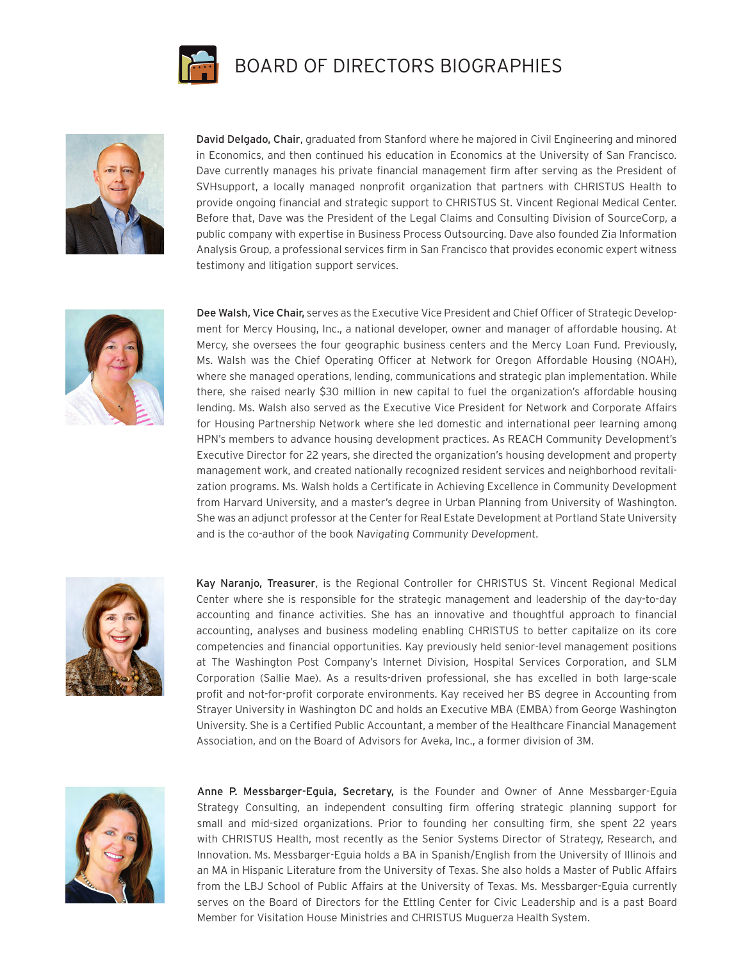

## BOARD OF DIRECTORS BIOGRAPHIES



David Delgado, Chair, graduated from Stanford where he majored in Civil Engineering and minored in Economics, and then continued his education in Economics at the University of San Francisco. Dave currently manages his private financial management firm after serving as the President of SVHsupport, a locally managed nonprofit organization that partners with CHRISTUS Health to provide ongoing financial and strategic support to CHRISTUS St. Vincent Regional Medical Center. Before that, Dave was the President of the Legal Claims and Consulting Division of SourceCorp, a public company with expertise in Business Process Outsourcing. Dave also founded Zia Information Analysis Group, a professional services firm in San Francisco that provides economic expert witness testimony and litigation support services.



Dee Walsh, Vice Chair, serves as the Executive Vice President and Chief Officer of Strategic Development for Mercy Housing, Inc., a national developer, owner and manager of affordable housing. At Mercy, she oversees the four geographic business centers and the Mercy Loan Fund. Previously, Ms. Walsh was the Chief Operating Officer at Network for Oregon Affordable Housing (NOAH), where she managed operations, lending, communications and strategic plan implementation. While there, she raised nearly \$30 million in new capital to fuel the organization's affordable housing lending. Ms. Walsh also served as the Executive Vice President for Network and Corporate Affairs for Housing Partnership Network where she led domestic and international peer learning among HPN's members to advance housing development practices. As REACH Community Development's Executive Director for 22 years, she directed the organization's housing development and property management work, and created nationally recognized resident services and neighborhood revitalization programs. Ms. Walsh holds a Certificate in Achieving Excellence in Community Development from Harvard University, and a master's degree in Urban Planning from University of Washington. She was an adjunct professor at the Center for Real Estate Development at Portland State University and is the co-author of the book Navigating Community Development.



Kay Naranjo, Treasurer, is the Regional Controller for CHRISTUS St. Vincent Regional Medical Center where she is responsible for the strategic management and leadership of the day-to-day accounting and finance activities. She has an innovative and thoughtful approach to financial accounting, analyses and business modeling enabling CHRISTUS to better capitalize on its core competencies and financial opportunities. Kay previously held senior-level management positions at The Washington Post Company's Internet Division, Hospital Services Corporation, and SLM Corporation (Sallie Mae). As a results-driven professional, she has excelled in both large-scale profit and not-for-profit corporate environments. Kay received her BS degree in Accounting from Strayer University in Washington DC and holds an Executive MBA (EMBA) from George Washington University. She is a Certified Public Accountant, a member of the Healthcare Financial Management Association, and on the Board of Advisors for Aveka, Inc., a former division of 3M.



Anne P. Messbarger-Eguia, Secretary, is the Founder and Owner of Anne Messbarger-Eguia Strategy Consulting, an independent consulting firm offering strategic planning support for small and mid-sized organizations. Prior to founding her consulting firm, she spent 22 years with CHRISTUS Health, most recently as the Senior Systems Director of Strategy, Research, and Innovation. Ms. Messbarger-Eguia holds a BA in Spanish/English from the University of Illinois and an MA in Hispanic Literature from the University of Texas. She also holds a Master of Public Affairs from the LBJ School of Public Affairs at the University of Texas. Ms. Messbarger-Eguia currently serves on the Board of Directors for the Ettling Center for Civic Leadership and is a past Board Member for Visitation House Ministries and CHRISTUS Muguerza Health System.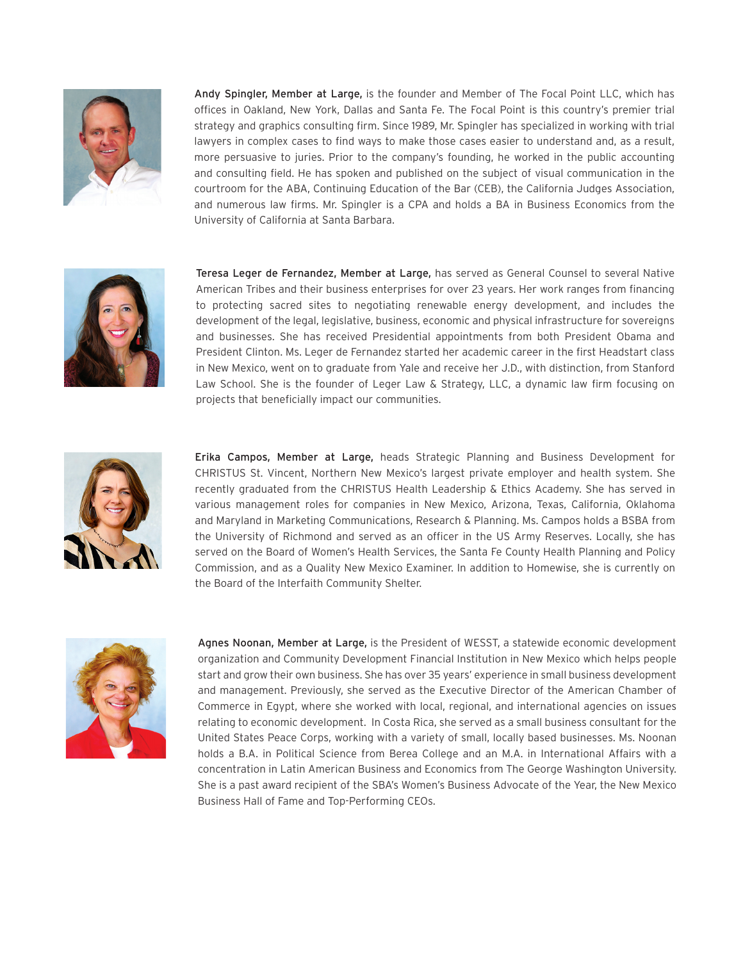

Andy Spingler, Member at Large, is the founder and Member of The Focal Point LLC, which has offices in Oakland, New York, Dallas and Santa Fe. The Focal Point is this country's premier trial strategy and graphics consulting firm. Since 1989, Mr. Spingler has specialized in working with trial lawyers in complex cases to find ways to make those cases easier to understand and, as a result, more persuasive to juries. Prior to the company's founding, he worked in the public accounting and consulting field. He has spoken and published on the subject of visual communication in the courtroom for the ABA, Continuing Education of the Bar (CEB), the California Judges Association, and numerous law firms. Mr. Spingler is a CPA and holds a BA in Business Economics from the University of California at Santa Barbara.



Teresa Leger de Fernandez, Member at Large, has served as General Counsel to several Native American Tribes and their business enterprises for over 23 years. Her work ranges from financing to protecting sacred sites to negotiating renewable energy development, and includes the development of the legal, legislative, business, economic and physical infrastructure for sovereigns and businesses. She has received Presidential appointments from both President Obama and President Clinton. Ms. Leger de Fernandez started her academic career in the first Headstart class in New Mexico, went on to graduate from Yale and receive her J.D., with distinction, from Stanford Law School. She is the founder of Leger Law & Strategy, LLC, a dynamic law firm focusing on projects that beneficially impact our communities.



Erika Campos, Member at Large, heads Strategic Planning and Business Development for CHRISTUS St. Vincent, Northern New Mexico's largest private employer and health system. She recently graduated from the CHRISTUS Health Leadership & Ethics Academy. She has served in various management roles for companies in New Mexico, Arizona, Texas, California, Oklahoma and Maryland in Marketing Communications, Research & Planning. Ms. Campos holds a BSBA from the University of Richmond and served as an officer in the US Army Reserves. Locally, she has served on the Board of Women's Health Services, the Santa Fe County Health Planning and Policy Commission, and as a Quality New Mexico Examiner. In addition to Homewise, she is currently on the Board of the Interfaith Community Shelter.



Agnes Noonan, Member at Large, is the President of WESST, a statewide economic development organization and Community Development Financial Institution in New Mexico which helps people start and grow their own business. She has over 35 years' experience in small business development and management. Previously, she served as the Executive Director of the American Chamber of Commerce in Egypt, where she worked with local, regional, and international agencies on issues relating to economic development. In Costa Rica, she served as a small business consultant for the United States Peace Corps, working with a variety of small, locally based businesses. Ms. Noonan holds a B.A. in Political Science from Berea College and an M.A. in International Affairs with a concentration in Latin American Business and Economics from The George Washington University. She is a past award recipient of the SBA's Women's Business Advocate of the Year, the New Mexico Business Hall of Fame and Top-Performing CEOs.